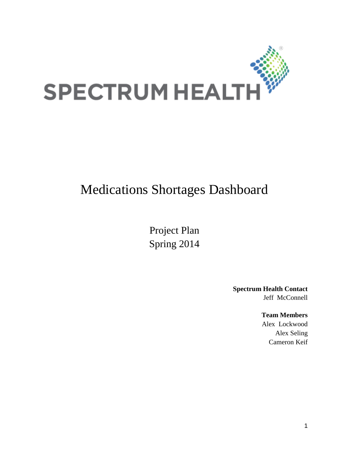

# Medications Shortages Dashboard

Project Plan Spring 2014

> **Spectrum Health Contact** Jeff McConnell

> > **Team Members**

Alex Lockwood Alex Seling Cameron Keif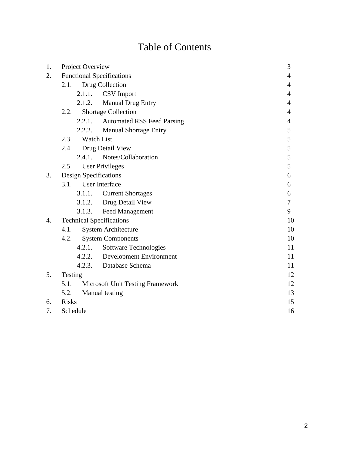# Table of Contents

| 1. |                                 | Project Overview                 | 3                                 |                |  |  |
|----|---------------------------------|----------------------------------|-----------------------------------|----------------|--|--|
| 2. |                                 | <b>Functional Specifications</b> |                                   |                |  |  |
|    | 2.1.                            | Drug Collection                  | 4                                 |                |  |  |
|    |                                 | 2.1.1.                           | CSV Import                        | 4              |  |  |
|    |                                 | 2.1.2.                           | Manual Drug Entry                 | $\overline{4}$ |  |  |
|    | 2.2.                            |                                  | <b>Shortage Collection</b>        | $\overline{4}$ |  |  |
|    |                                 | 2.2.1.                           | <b>Automated RSS Feed Parsing</b> | 4              |  |  |
|    |                                 | 2.2.2.                           | <b>Manual Shortage Entry</b>      | 5              |  |  |
|    | 2.3.                            |                                  | <b>Watch List</b>                 | 5              |  |  |
|    |                                 |                                  | 2.4. Drug Detail View             | 5              |  |  |
|    |                                 | 2.4.1.                           | Notes/Collaboration               | 5              |  |  |
|    | 2.5.                            | 5                                |                                   |                |  |  |
| 3. | Design Specifications           | 6                                |                                   |                |  |  |
|    | <b>User Interface</b><br>3.1.   |                                  | 6                                 |                |  |  |
|    |                                 | 3.1.1. Current Shortages         | 6                                 |                |  |  |
|    |                                 | 3.1.2. Drug Detail View          | $\overline{7}$                    |                |  |  |
|    |                                 | 3.1.3.                           | 9                                 |                |  |  |
| 4. | <b>Technical Specifications</b> | 10                               |                                   |                |  |  |
|    | 4.1.                            |                                  | <b>System Architecture</b>        | 10             |  |  |
|    | 4.2.                            |                                  | <b>System Components</b>          | 10             |  |  |
|    |                                 |                                  | 4.2.1. Software Technologies      | 11             |  |  |
|    |                                 |                                  | 4.2.2. Development Environment    | 11             |  |  |
|    |                                 |                                  | 4.2.3. Database Schema            | 11             |  |  |
| 5. | Testing                         |                                  |                                   | 12             |  |  |
|    | 5.1.                            | 12                               |                                   |                |  |  |
|    | 5.2.                            | 13                               |                                   |                |  |  |
| 6. | <b>Risks</b>                    |                                  |                                   | 15             |  |  |
| 7. | Schedule                        |                                  | 16                                |                |  |  |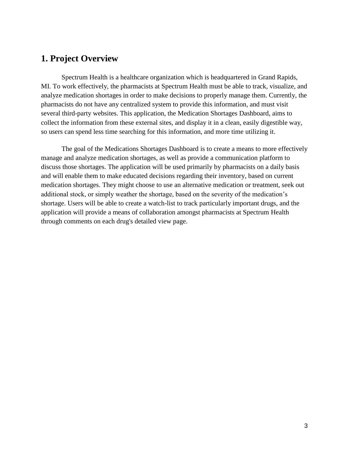# **1. Project Overview**

Spectrum Health is a healthcare organization which is headquartered in Grand Rapids, MI. To work effectively, the pharmacists at Spectrum Health must be able to track, visualize, and analyze medication shortages in order to make decisions to properly manage them. Currently, the pharmacists do not have any centralized system to provide this information, and must visit several third-party websites. This application, the Medication Shortages Dashboard, aims to collect the information from these external sites, and display it in a clean, easily digestible way, so users can spend less time searching for this information, and more time utilizing it.

The goal of the Medications Shortages Dashboard is to create a means to more effectively manage and analyze medication shortages, as well as provide a communication platform to discuss those shortages. The application will be used primarily by pharmacists on a daily basis and will enable them to make educated decisions regarding their inventory, based on current medication shortages. They might choose to use an alternative medication or treatment, seek out additional stock, or simply weather the shortage, based on the severity of the medication's shortage. Users will be able to create a watch-list to track particularly important drugs, and the application will provide a means of collaboration amongst pharmacists at Spectrum Health through comments on each drug's detailed view page.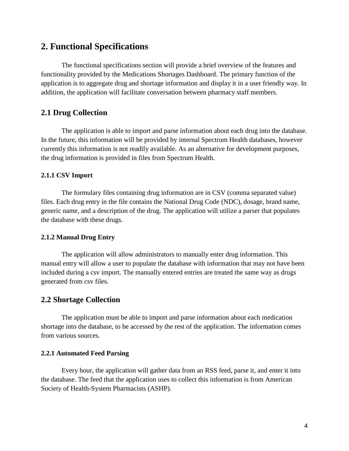# **2. Functional Specifications**

The functional specifications section will provide a brief overview of the features and functionality provided by the Medications Shortages Dashboard. The primary function of the application is to aggregate drug and shortage information and display it in a user friendly way. In addition, the application will facilitate conversation between pharmacy staff members.

## **2.1 Drug Collection**

The application is able to import and parse information about each drug into the database. In the future, this information will be provided by internal Spectrum Health databases, however currently this information is not readily available. As an alternative for development purposes, the drug information is provided in files from Spectrum Health.

#### **2.1.1 CSV Import**

The formulary files containing drug information are in CSV (comma separated value) files. Each drug entry in the file contains the National Drug Code (NDC), dosage, brand name, generic name, and a description of the drug. The application will utilize a parser that populates the database with these drugs.

#### **2.1.2 Manual Drug Entry**

The application will allow administrators to manually enter drug information. This manual entry will allow a user to populate the database with information that may not have been included during a csv import. The manually entered entries are treated the same way as drugs generated from csv files.

#### **2.2 Shortage Collection**

The application must be able to import and parse information about each medication shortage into the database, to be accessed by the rest of the application. The information comes from various sources.

#### **2.2.1 Automated Feed Parsing**

Every hour, the application will gather data from an RSS feed, parse it, and enter it into the database. The feed that the application uses to collect this information is from American Society of Health-System Pharmacists (ASHP).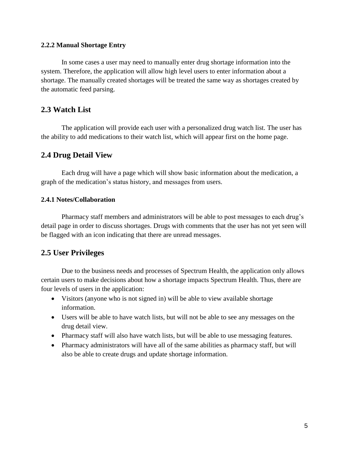#### **2.2.2 Manual Shortage Entry**

In some cases a user may need to manually enter drug shortage information into the system. Therefore, the application will allow high level users to enter information about a shortage. The manually created shortages will be treated the same way as shortages created by the automatic feed parsing.

### **2.3 Watch List**

The application will provide each user with a personalized drug watch list. The user has the ability to add medications to their watch list, which will appear first on the home page.

### **2.4 Drug Detail View**

Each drug will have a page which will show basic information about the medication, a graph of the medication's status history, and messages from users.

#### **2.4.1 Notes/Collaboration**

Pharmacy staff members and administrators will be able to post messages to each drug's detail page in order to discuss shortages. Drugs with comments that the user has not yet seen will be flagged with an icon indicating that there are unread messages.

## **2.5 User Privileges**

Due to the business needs and processes of Spectrum Health, the application only allows certain users to make decisions about how a shortage impacts Spectrum Health. Thus, there are four levels of users in the application:

- Visitors (anyone who is not signed in) will be able to view available shortage information.
- Users will be able to have watch lists, but will not be able to see any messages on the drug detail view.
- Pharmacy staff will also have watch lists, but will be able to use messaging features.
- Pharmacy administrators will have all of the same abilities as pharmacy staff, but will also be able to create drugs and update shortage information.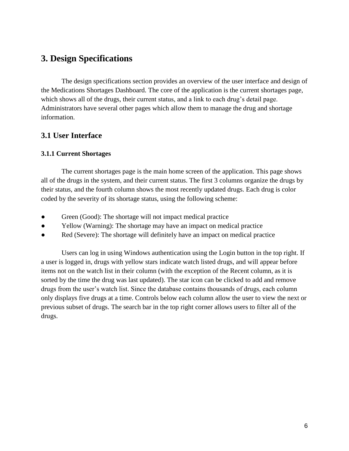# **3. Design Specifications**

The design specifications section provides an overview of the user interface and design of the Medications Shortages Dashboard. The core of the application is the current shortages page, which shows all of the drugs, their current status, and a link to each drug's detail page. Administrators have several other pages which allow them to manage the drug and shortage information.

## **3.1 User Interface**

### **3.1.1 Current Shortages**

The current shortages page is the main home screen of the application. This page shows all of the drugs in the system, and their current status. The first 3 columns organize the drugs by their status, and the fourth column shows the most recently updated drugs. Each drug is color coded by the severity of its shortage status, using the following scheme:

- Green (Good): The shortage will not impact medical practice
- Yellow (Warning): The shortage may have an impact on medical practice
- Red (Severe): The shortage will definitely have an impact on medical practice

Users can log in using Windows authentication using the Login button in the top right. If a user is logged in, drugs with yellow stars indicate watch listed drugs, and will appear before items not on the watch list in their column (with the exception of the Recent column, as it is sorted by the time the drug was last updated). The star icon can be clicked to add and remove drugs from the user's watch list. Since the database contains thousands of drugs, each column only displays five drugs at a time. Controls below each column allow the user to view the next or previous subset of drugs. The search bar in the top right corner allows users to filter all of the drugs.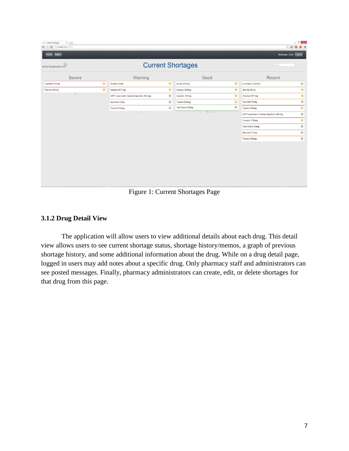| x<br>Current Shortages<br>$\leftarrow$ $\rightarrow$ C' [] localhost 60705 |                                         |                |                          |         |                                         | $ \theta$ $x$<br>$\circledR_1 \otimes \cdots \otimes \bullet \otimes \cdots \otimes \bullet \otimes \cdots \otimes \bullet$ |
|----------------------------------------------------------------------------|-----------------------------------------|----------------|--------------------------|---------|-----------------------------------------|-----------------------------------------------------------------------------------------------------------------------------|
| Home Admin                                                                 |                                         |                |                          |         |                                         | Welcome, Cam Logout                                                                                                         |
| SPECTRUM HEALTH                                                            |                                         |                | <b>Current Shortages</b> |         | search                                  |                                                                                                                             |
| Severe                                                                     | Warning                                 |                | Good                     |         | Recent                                  |                                                                                                                             |
| ★<br>Cayston 750mg                                                         | Brilinta 80mg                           | ★              | Actos 500mg              | $\star$ | · Verazinc 220mg                        | $\frac{1}{\sqrt{2}}$                                                                                                        |
| ★<br>Tylenol 400mg                                                         | Eliphos 667 mg                          | $\star$        | Gilenya 450mg            | $\star$ | Brilinta 80mg                           | $\overline{\star}$                                                                                                          |
| $<<$ < 1 > >>                                                              | APP Leucovorin Calcium Injection 200 mg | $\star$        | Saphris 350mg            | ★       | Eliphos 667 mg                          | ₮                                                                                                                           |
|                                                                            | Apsonal 50mg                            | ★              | Tylenol 800mg            | ★       | Apsonal 50mg                            | $\overline{\mathcal{H}}$                                                                                                    |
|                                                                            | Tylenol 200mg                           | $\frac{1}{24}$ | Test Brand 20mg          | ☆       | Tylenol 400mg                           | $\overline{\star}$                                                                                                          |
|                                                                            | $<<$ < 1 > >>                           |                | $<<$ $<$ 1 > >>          |         | APP Leucovorin Calcium Injection 200 mg | $\frac{1}{2}$                                                                                                               |
|                                                                            |                                         |                |                          |         | Cayston 750mg                           | $\star$                                                                                                                     |
|                                                                            |                                         |                |                          |         | Test Brand 20mg                         | $\frac{1}{\sqrt{2}}$                                                                                                        |
|                                                                            |                                         |                |                          |         | Micardis 75mg                           | $\overline{\mathcal{H}}$                                                                                                    |
|                                                                            |                                         |                |                          |         | Tylenol 200mg                           | $\frac{1}{\sqrt{2}}$                                                                                                        |
|                                                                            |                                         |                |                          |         |                                         |                                                                                                                             |

Figure 1: Current Shortages Page

#### **3.1.2 Drug Detail View**

The application will allow users to view additional details about each drug. This detail view allows users to see current shortage status, shortage history/memos, a graph of previous shortage history, and some additional information about the drug. While on a drug detail page, logged in users may add notes about a specific drug. Only pharmacy staff and administrators can see posted messages. Finally, pharmacy administrators can create, edit, or delete shortages for that drug from this page.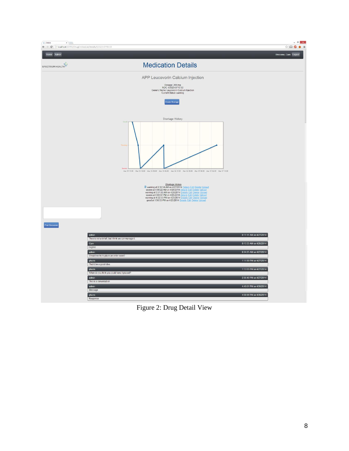

Figure 2: Drug Detail View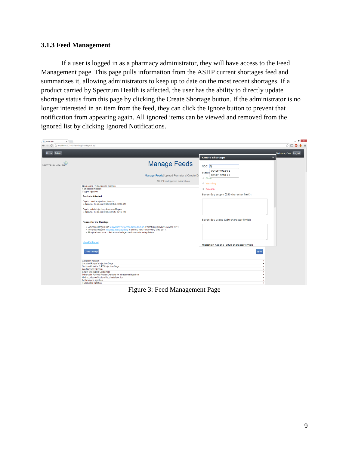#### **3.1.3 Feed Management**

If a user is logged in as a pharmacy administrator, they will have access to the Feed Management page. This page pulls information from the ASHP current shortages feed and summarizes it, allowing administrators to keep up to date on the most recent shortages. If a product carried by Spectrum Health is affected, the user has the ability to directly update shortage status from this page by clicking the Create Shortage button. If the administrator is no longer interested in an item from the feed, they can click the Ignore button to prevent that notification from appearing again. All ignored items can be viewed and removed from the ignored list by clicking Ignored Notifications.

| ASHP Feed<br>$x \mid$<br>← → C     localhost 60705/PendingShortagesList/ |                                                                                                                                                                                                                                                                                               | $ \theta$ $\times$<br>$\mathbb{C} \quad \square \quad \bullet$<br>$\bullet =$ |
|--------------------------------------------------------------------------|-----------------------------------------------------------------------------------------------------------------------------------------------------------------------------------------------------------------------------------------------------------------------------------------------|-------------------------------------------------------------------------------|
| Home Admin                                                               |                                                                                                                                                                                                                                                                                               | Welcome, Cam Logout<br><b>Create Shortage</b><br>$\boldsymbol{\mathsf{x}}$    |
| <b>SPECTRUM HEALTH</b>                                                   | <b>Manage Feeds</b>                                                                                                                                                                                                                                                                           | NDC: 0                                                                        |
|                                                                          | Manage Feeds Upload Formulary Create Di<br><b>ASHP Feed   Ignored Notifications</b>                                                                                                                                                                                                           | 00409-4092-01<br><b>Status</b><br>00517-6210-25<br>$@$ Good                   |
|                                                                          | Granisetron Hydrochloride Injection<br><b>Famotidine Injection</b><br>Copper Injection                                                                                                                                                                                                        | $@$ Warning<br><sup>®</sup> Severe                                            |
|                                                                          | <b>Products Affected</b><br>Cupric chloride injection, Hospira<br>0.4 mg/mL 10 mL vial (NDC 00409-4092-01)                                                                                                                                                                                    | Seven day supply (250 character limit):                                       |
|                                                                          | Cupric sulfate injection, American Regent<br>0.4 mg/mL 10 mL vial (NDC 00517-6210-25)                                                                                                                                                                                                         | Seven day usage (250 character limit):                                        |
|                                                                          | <b>Reason for the Shortage</b><br>. American Regent had temporarily suspended manufacture of most drug products in April, 2011.<br>. American Regent resumed manufacturing in Shirley, New York in early-May, 2011.<br>· Hospira has cupric chloride on shortage due to manufacturing delays. |                                                                               |
|                                                                          | <b>View Full Report</b>                                                                                                                                                                                                                                                                       | Migitation Actions (5000 character limit):                                    |
|                                                                          | <b>Create Shortage</b>                                                                                                                                                                                                                                                                        | Ignore                                                                        |
|                                                                          | <b>Cefazolin Injection</b><br><b>Lactated Ringer's Injection Bags</b><br>Sodium Chloride 0.45% Injection Bags<br>Iron Sucrose Injection                                                                                                                                                       | ٠<br>$\ddot{}$<br>٠<br>$\ddot{}$                                              |
|                                                                          | <b>Empty Evacuated Containers</b><br>Tuberculin Purified Protein Derivate for Intradermal Injection<br><b>Hydrocortisone Sodium Succinate Injection</b><br><b>Azithromycin Injection</b><br><b>Fluorouracil Injection</b>                                                                     | ٠<br>÷<br>٠<br>$\ddot{}$<br>٠                                                 |

Figure 3: Feed Management Page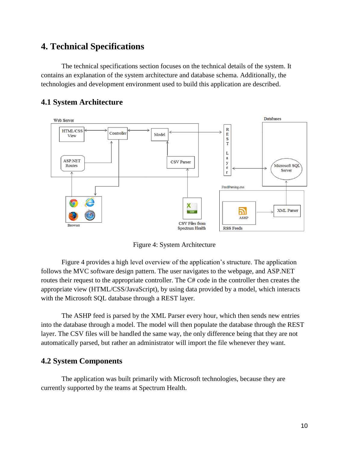# **4. Technical Specifications**

The technical specifications section focuses on the technical details of the system. It contains an explanation of the system architecture and database schema. Additionally, the technologies and development environment used to build this application are described.



## **4.1 System Architecture**

Figure 4: System Architecture

Figure 4 provides a high level overview of the application's structure. The application follows the MVC software design pattern. The user navigates to the webpage, and ASP.NET routes their request to the appropriate controller. The C# code in the controller then creates the appropriate view (HTML/CSS/JavaScript), by using data provided by a model, which interacts with the Microsoft SQL database through a REST layer.

The ASHP feed is parsed by the XML Parser every hour, which then sends new entries into the database through a model. The model will then populate the database through the REST layer. The CSV files will be handled the same way, the only difference being that they are not automatically parsed, but rather an administrator will import the file whenever they want.

## **4.2 System Components**

The application was built primarily with Microsoft technologies, because they are currently supported by the teams at Spectrum Health.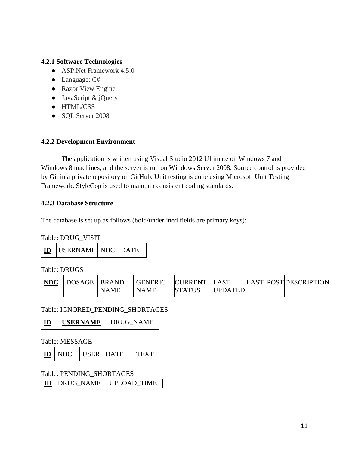#### **4.2.1 Software Technologies**

- ASP. Net Framework 4.5.0
- Language: C#
- Razor View Engine
- JavaScript & jQuery
- HTML/CSS
- SQL Server 2008

#### **4.2.2 Development Environment**

The application is written using Visual Studio 2012 Ultimate on Windows 7 and Windows 8 machines, and the server is run on Windows Server 2008. Source control is provided by Git in a private repository on GitHub. Unit testing is done using Microsoft Unit Testing Framework. StyleCop is used to maintain consistent coding standards.

#### **4.2.3 Database Structure**

The database is set up as follows (bold/underlined fields are primary keys):

Table: DRUG\_VISIT

|  | <b>ID</b> USERNAME NDC DATE |  |  |
|--|-----------------------------|--|--|
|--|-----------------------------|--|--|

Table: DRUGS

| NDC | DOSAGE   BRAND |             | <b>GENERIC</b> | <b>CURRENT</b> | LAST           | LAST POSTIDESCRIPTION |
|-----|----------------|-------------|----------------|----------------|----------------|-----------------------|
|     |                | <b>NAME</b> | <b>NAME</b>    | <b>STATUS</b>  | <b>UPDATED</b> |                       |

Table: IGNORED\_PENDING\_SHORTAGES

|  | <b>USERNAME</b> | <b>DRUG NAME</b> |
|--|-----------------|------------------|
|--|-----------------|------------------|

Table: MESSAGE

|  | <b>ID</b> NDC | <b>LUSER DATE</b> |  |  |
|--|---------------|-------------------|--|--|
|--|---------------|-------------------|--|--|

Table: PENDING\_SHORTAGES

**ID** DRUG\_NAME UPLOAD\_TIME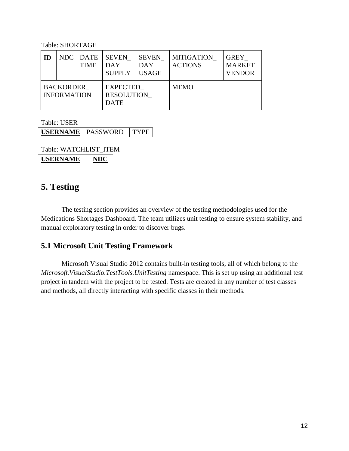Table: SHORTAGE

| $\mathbf{I}\mathbf{D}$                 |  | NDC DATE<br>TIME | <b>SEVEN</b><br><b>DAY</b><br><b>SUPPLY</b>  | <b>SEVEN</b><br>DAY<br><b>USAGE</b> | <b>MITIGATION</b><br><b>ACTIONS</b> | <b>GREY</b><br><b>MARKET</b><br><b>VENDOR</b> |
|----------------------------------------|--|------------------|----------------------------------------------|-------------------------------------|-------------------------------------|-----------------------------------------------|
| <b>BACKORDER</b><br><b>INFORMATION</b> |  |                  | <b>EXPECTED</b><br>RESOLUTION<br><b>DATE</b> |                                     | <b>MEMO</b>                         |                                               |

Table: USER

**USERNAME** | PASSWORD | TYPE

Table: WATCHLIST\_ITEM **USERNAME NDC**

# **5. Testing**

The testing section provides an overview of the testing methodologies used for the Medications Shortages Dashboard. The team utilizes unit testing to ensure system stability, and manual exploratory testing in order to discover bugs.

## **5.1 Microsoft Unit Testing Framework**

Microsoft Visual Studio 2012 contains built-in testing tools, all of which belong to the *Microsoft.VisualStudio.TestTools.UnitTesting* namespace. This is set up using an additional test project in tandem with the project to be tested. Tests are created in any number of test classes and methods, all directly interacting with specific classes in their methods.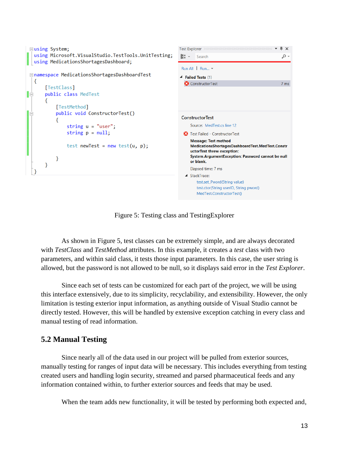```
\star \uparrow \times⊟using System;
                                                                            Test Explorer
   using Microsoft.VisualStudio.TestTools.UnitTesting;
                                                                             \begin{bmatrix} E \equiv \\ E \equiv \end{bmatrix} \star Search
                                                                                                                                - م
  using MedicationsShortagesDashboard;
                                                                             Run All Run... -
 □namespace MedicationsShortagesDashboardTest
                                                                            4 Failed Tests (1)
   €
                                                                              ConstructorTest
                                                                                                                               7<sub>ms</sub>[TestClass]
         public class MedTest
IĖ
         ₹
              [TestMethod]
              public void ConstructorTest()
                                                                             ConstructorTest
                                                                                 Source: MedTest.cs line 12
                    string u = "user";string p = null;
                                                                              8 Test Failed - ConstructorTest
                                                                                 Message: Test method
                   test newTest = new test(u, p);
                                                                                 MedicationsShortagesDashboardTest.MedTest.Constr
                                                                                 uctorTest threw exception:
                                                                                 System.ArgumentException: Password cannot be null
              }
                                                                                 or blank.
         }
                                                                                 Elapsed time: 7 ms
   -3
                                                                               ▲ StackTrace:
                                                                                    test.set_Pword(String value)
                                                                                    test.ctor(String userID, String pword)
                                                                                    MedTest.ConstructorTest()
```
Figure 5: Testing class and TestingExplorer

As shown in Figure 5, test classes can be extremely simple, and are always decorated with *TestClass* and *TestMethod* attributes. In this example, it creates a *test* class with two parameters, and within said class, it tests those input parameters. In this case, the user string is allowed, but the password is not allowed to be null, so it displays said error in the *Test Explorer*.

Since each set of tests can be customized for each part of the project, we will be using this interface extensively, due to its simplicity, recyclability, and extensibility. However, the only limitation is testing exterior input information, as anything outside of Visual Studio cannot be directly tested. However, this will be handled by extensive exception catching in every class and manual testing of read information.

## **5.2 Manual Testing**

Since nearly all of the data used in our project will be pulled from exterior sources, manually testing for ranges of input data will be necessary. This includes everything from testing created users and handling login security, streamed and parsed pharmaceutical feeds and any information contained within, to further exterior sources and feeds that may be used.

When the team adds new functionality, it will be tested by performing both expected and,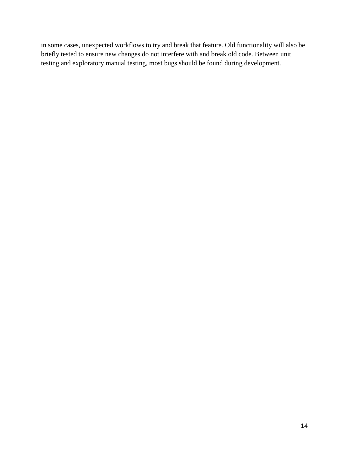in some cases, unexpected workflows to try and break that feature. Old functionality will also be briefly tested to ensure new changes do not interfere with and break old code. Between unit testing and exploratory manual testing, most bugs should be found during development.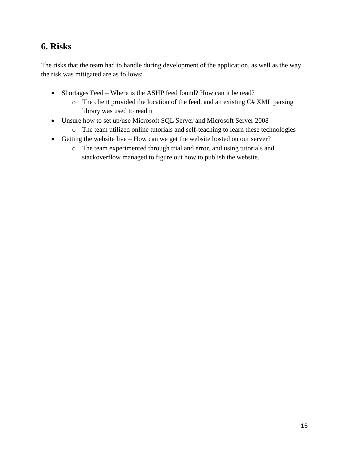# **6. Risks**

The risks that the team had to handle during development of the application, as well as the way the risk was mitigated are as follows:

- Shortages Feed Where is the ASHP feed found? How can it be read?
	- o The client provided the location of the feed, and an existing C# XML parsing library was used to read it
- Unsure how to set up/use Microsoft SQL Server and Microsoft Server 2008
	- o The team utilized online tutorials and self-teaching to learn these technologies
- Getting the website live How can we get the website hosted on our server?
	- o The team experimented through trial and error, and using tutorials and stackoverflow managed to figure out how to publish the website.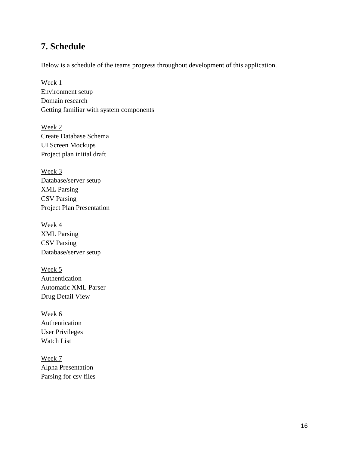# **7. Schedule**

Below is a schedule of the teams progress throughout development of this application.

Week 1 Environment setup Domain research Getting familiar with system components

Week 2 Create Database Schema UI Screen Mockups Project plan initial draft

Week 3 Database/server setup XML Parsing CSV Parsing Project Plan Presentation

Week 4 XML Parsing CSV Parsing Database/server setup

Week 5 Authentication Automatic XML Parser Drug Detail View

Week 6 Authentication User Privileges Watch List

Week 7 Alpha Presentation Parsing for csv files